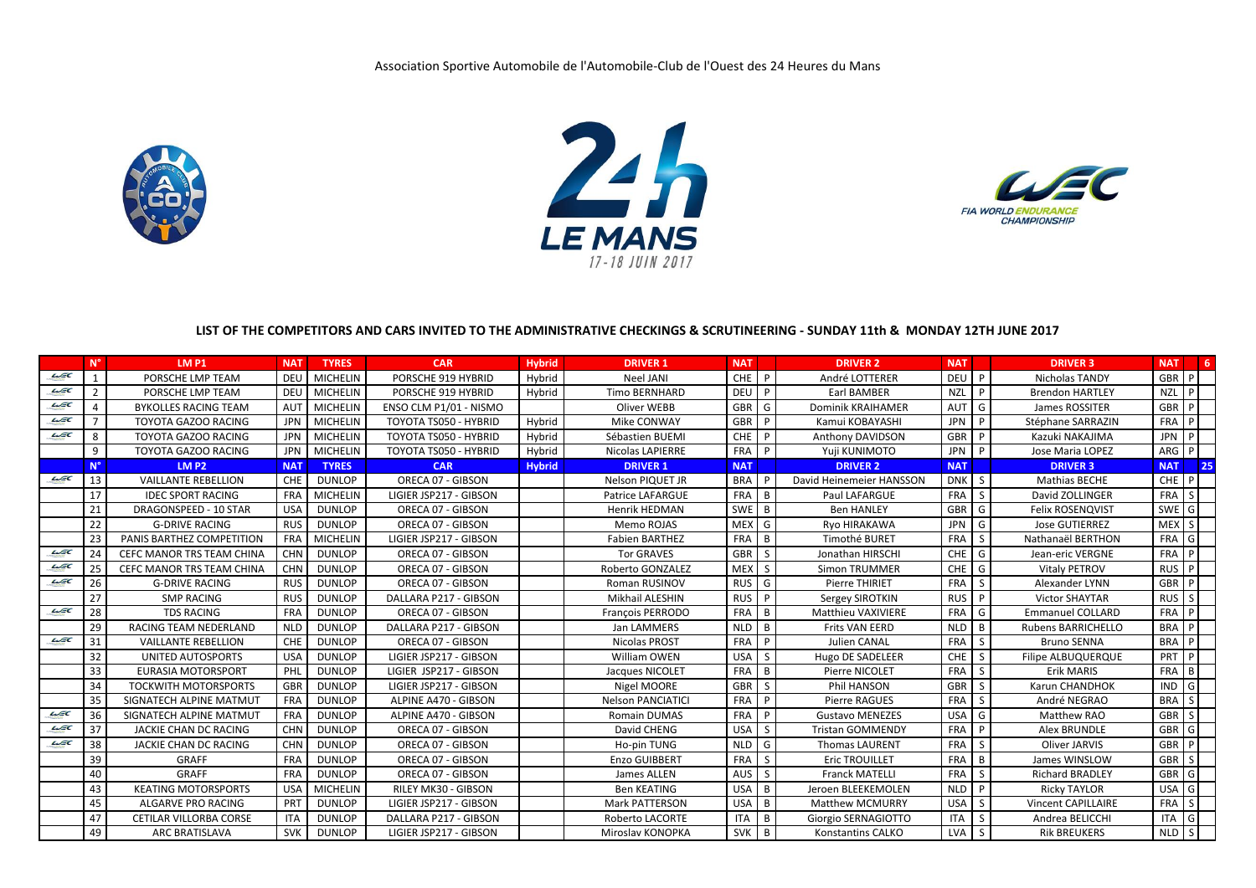





## **LIST OF THE COMPETITORS AND CARS INVITED TO THE ADMINISTRATIVE CHECKINGS & SCRUTINEERING - SUNDAY 11th & MONDAY 12TH JUNE 2017**

|                     | $N^{\circ}$    | LM P1                            | <b>NAT</b> | <b>TYRES</b>    | <b>CAR</b>             | <b>Hybrid</b> | <b>DRIVER 1</b>          | <b>NAT</b> |              | <b>DRIVER 2</b>          | <b>NAT</b> |                | <b>DRIVER 3</b>           | <b>NAT</b>       | 6            |
|---------------------|----------------|----------------------------------|------------|-----------------|------------------------|---------------|--------------------------|------------|--------------|--------------------------|------------|----------------|---------------------------|------------------|--------------|
| $\mu$ EC            | $\overline{1}$ | PORSCHE LMP TEAM                 | DEU        | <b>MICHELIN</b> | PORSCHE 919 HYBRID     | Hybrid        | <b>Neel JANI</b>         | CHE I      | P            | André LOTTERER           | <b>DEU</b> | P              | Nicholas TANDY            | GBR P            |              |
| $\mathcal{L}$ EC    | $\overline{2}$ | PORSCHE LMP TEAM                 | DEU        | <b>MICHELIN</b> | PORSCHE 919 HYBRID     | Hybrid        | <b>Timo BERNHARD</b>     | <b>DEU</b> | P            | <b>Earl BAMBER</b>       | <b>NZL</b> | P              | <b>Brendon HARTLEY</b>    | <b>NZL</b>       | P            |
| $\mu$ EC            | $\overline{4}$ | <b>BYKOLLES RACING TEAM</b>      | AUT        | <b>MICHELIN</b> | ENSO CLM P1/01 - NISMO |               | Oliver WEBB              | GBR        | G            | <b>Dominik KRAIHAMER</b> | AUT        | G              | James ROSSITER            | GBR              | P            |
| $\omega\varepsilon$ | $\overline{7}$ | <b>TOYOTA GAZOO RACING</b>       | JPN        | <b>MICHELIN</b> | TOYOTA TS050 - HYBRID  | Hybrid        | Mike CONWAY              | <b>GBR</b> | P            | Kamui KOBAYASHI          | <b>JPN</b> | P              | Stéphane SARRAZIN         | FRA              | P            |
| $\mu$ EC            | 8              | <b>TOYOTA GAZOO RACING</b>       | JPN        | <b>MICHELIN</b> | TOYOTA TS050 - HYBRID  | Hybrid        | Sébastien BUEMI          | <b>CHE</b> | P            | Anthony DAVIDSON         | GBR P      |                | Kazuki NAKAJIMA           | JPN P            |              |
|                     | 9              | TOYOTA GAZOO RACING              | <b>JPN</b> | <b>MICHELIN</b> | TOYOTA TS050 - HYBRID  | Hybrid        | <b>Nicolas LAPIERRE</b>  | FRA        | P            | Yuji KUNIMOTO            | <b>JPN</b> | P              | Jose Maria LOPEZ          | ARG P            |              |
|                     | N              | <b>LM P2</b>                     | <b>NAT</b> | <b>TYRES</b>    | <b>CAR</b>             | <b>Hybrid</b> | <b>DRIVER 1</b>          | <b>NAT</b> |              | <b>DRIVER 2</b>          | <b>NAT</b> |                | <b>DRIVER 3</b>           | <b>NAT</b>       | 25           |
| $\mathcal{L}$ EC    | 13             | <b>VAILLANTE REBELLION</b>       | CHE        | <b>DUNLOP</b>   | ORECA 07 - GIBSON      |               | Nelson PIQUET JR         | <b>BRA</b> | P            | David Heinemeier HANSSON | <b>DNK</b> | l s            | Mathias BECHE             | CHE P            |              |
|                     | 17             | <b>IDEC SPORT RACING</b>         | <b>FRA</b> | <b>MICHELIN</b> | LIGIER JSP217 - GIBSON |               | <b>Patrice LAFARGUE</b>  | FRA        | B            | Paul LAFARGUE            | <b>FRA</b> | S <sub>1</sub> | David ZOLLINGER           | FRA S            |              |
|                     | 21             | DRAGONSPEED - 10 STAR            | <b>USA</b> | <b>DUNLOP</b>   | ORECA 07 - GIBSON      |               | <b>Henrik HEDMAN</b>     | <b>SWE</b> | B            | <b>Ben HANLEY</b>        | GBR        | G              | Felix ROSENQVIST          | SWE              | l G          |
|                     | 22             | <b>G-DRIVE RACING</b>            | <b>RUS</b> | <b>DUNLOP</b>   | ORECA 07 - GIBSON      |               | Memo ROJAS               | <b>MEX</b> | G            | Ryo HIRAKAWA             | <b>JPN</b> | G              | <b>Jose GUTIERREZ</b>     | <b>MEX</b>       | S            |
|                     | 23             | PANIS BARTHEZ COMPETITION        | <b>FRA</b> | <b>MICHELIN</b> | LIGIER JSP217 - GIBSON |               | <b>Fabien BARTHEZ</b>    | <b>FRA</b> | B            | Timothé BURET            | <b>FRA</b> | S.             | Nathanaël BERTHON         | <b>FRA</b>       | G            |
| LSE                 | 24             | CEFC MANOR TRS TEAM CHINA        | <b>CHN</b> | <b>DUNLOP</b>   | ORECA 07 - GIBSON      |               | <b>Tor GRAVES</b>        | GBR        | <sub>S</sub> | Jonathan HIRSCHI         | <b>CHE</b> | G              | Jean-eric VERGNE          | FRA P            |              |
| LSE                 | 25             | <b>CEFC MANOR TRS TEAM CHINA</b> | <b>CHN</b> | <b>DUNLOP</b>   | ORECA 07 - GIBSON      |               | Roberto GONZALEZ         | <b>MEX</b> | <sub>S</sub> | Simon TRUMMER            | <b>CHE</b> | G              | Vitaly PETROV             | RUS P            |              |
| $\mu$ EC            | 26             | <b>G-DRIVE RACING</b>            | <b>RUS</b> | <b>DUNLOP</b>   | ORECA 07 - GIBSON      |               | Roman RUSINOV            | <b>RUS</b> | G            | Pierre THIRIET           | <b>FRA</b> | S.             | Alexander LYNN            | <b>GBR</b>       | P            |
|                     | 27             | <b>SMP RACING</b>                | <b>RUS</b> | <b>DUNLOP</b>   | DALLARA P217 - GIBSON  |               | Mikhail ALESHIN          | <b>RUS</b> | P            | Sergey SIROTKIN          | <b>RUS</b> | P              | <b>Victor SHAYTAR</b>     | RUS <sub>S</sub> |              |
| $\omega\varepsilon$ | 28             | <b>TDS RACING</b>                | <b>FRA</b> | <b>DUNLOP</b>   | ORECA 07 - GIBSON      |               | François PERRODO         | <b>FRA</b> | B            | Matthieu VAXIVIERE       | <b>FRA</b> | G              | <b>Emmanuel COLLARD</b>   | FRA P            |              |
|                     | 29             | RACING TEAM NEDERLAND            | <b>NLD</b> | <b>DUNLOP</b>   | DALLARA P217 - GIBSON  |               | Jan LAMMERS              | <b>NLD</b> | B            | <b>Frits VAN EERD</b>    | <b>NLD</b> | B              | Rubens BARRICHELLO        | <b>BRA</b>       | P            |
| LSE                 | 31             | <b>VAILLANTE REBELLION</b>       | CHE        | <b>DUNLOP</b>   | ORECA 07 - GIBSON      |               | <b>Nicolas PROST</b>     | <b>FRA</b> | P            | <b>Julien CANAL</b>      | <b>FRA</b> | S.             | <b>Bruno SENNA</b>        | <b>BRA</b> P     |              |
|                     | 32             | <b>UNITED AUTOSPORTS</b>         | <b>USA</b> | <b>DUNLOP</b>   | LIGIER JSP217 - GIBSON |               | <b>William OWEN</b>      | <b>USA</b> | S            | Hugo DE SADELEER         | CHE        | S.             | <b>Filipe ALBUQUERQUE</b> | <b>PRT</b>       | P            |
|                     | 33             | <b>EURASIA MOTORSPORT</b>        | PHL        | <b>DUNLOP</b>   | LIGIER JSP217 - GIBSON |               | Jacques NICOLET          | <b>FRA</b> | B            | Pierre NICOLET           | FRA        | S.             | <b>Erik MARIS</b>         | FRA B            |              |
|                     | 34             | <b>TOCKWITH MOTORSPORTS</b>      | GBR        | <b>DUNLOP</b>   | LIGIER JSP217 - GIBSON |               | Nigel MOORE              | GBR        | <sub>S</sub> | Phil HANSON              | <b>GBR</b> | S.             | Karun CHANDHOK            | <b>IND</b>       | G            |
|                     | 35             | SIGNATECH ALPINE MATMUT          | <b>FRA</b> | <b>DUNLOP</b>   | ALPINE A470 - GIBSON   |               | <b>Nelson PANCIATICI</b> | <b>FRA</b> | P            | <b>Pierre RAGUES</b>     | <b>FRA</b> | S.             | André NEGRAO              | <b>BRA</b>       | S            |
| $\mu$ EC            | 36             | SIGNATECH ALPINE MATMUT          | <b>FRA</b> | <b>DUNLOP</b>   | ALPINE A470 - GIBSON   |               | <b>Romain DUMAS</b>      | <b>FRA</b> | P            | <b>Gustavo MENEZES</b>   | <b>USA</b> | G              | Matthew RAO               | GBR              | S            |
| $\omega\varepsilon$ | 37             | JACKIE CHAN DC RACING            | <b>CHN</b> | <b>DUNLOP</b>   | ORECA 07 - GIBSON      |               | David CHENG              | <b>USA</b> | S            | <b>Tristan GOMMENDY</b>  | <b>FRA</b> | P              | Alex BRUNDLE              | <b>GBR</b>       | I G          |
| $\omega\varepsilon$ | 38             | JACKIE CHAN DC RACING            | <b>CHN</b> | <b>DUNLOP</b>   | ORECA 07 - GIBSON      |               | Ho-pin TUNG              | <b>NLD</b> | G            | <b>Thomas LAURENT</b>    | <b>FRA</b> | S.             | Oliver JARVIS             | <b>GBR</b>       | I P          |
|                     | 39             | GRAFF                            | <b>FRA</b> | <b>DUNLOP</b>   | ORECA 07 - GIBSON      |               | Enzo GUIBBERT            | FRA        | -S           | Eric TROUILLET           | FRA        | B              | James WINSLOW             | GBR              | S            |
|                     | 40             | GRAFF                            | <b>FRA</b> | <b>DUNLOP</b>   | ORECA 07 - GIBSON      |               | James ALLEN              | AUS        | <sub>S</sub> | <b>Franck MATELLI</b>    | <b>FRA</b> | S.             | <b>Richard BRADLEY</b>    | GBR              | G            |
|                     | 43             | <b>KEATING MOTORSPORTS</b>       | <b>USA</b> | <b>MICHELIN</b> | RILEY MK30 - GIBSON    |               | <b>Ben KEATING</b>       | <b>USA</b> | B            | Jeroen BLEEKEMOLEN       | <b>NLD</b> | P              | <b>Ricky TAYLOR</b>       | <b>USA</b>       | G            |
|                     | 45             | ALGARVE PRO RACING               | PRT        | <b>DUNLOP</b>   | LIGIER JSP217 - GIBSON |               | <b>Mark PATTERSON</b>    | USA        | B            | <b>Matthew MCMURRY</b>   | <b>USA</b> | S.             | <b>Vincent CAPILLAIRE</b> | FRA S            |              |
|                     | 47             | <b>CETILAR VILLORBA CORSE</b>    | <b>ITA</b> | <b>DUNLOP</b>   | DALLARA P217 - GIBSON  |               | <b>Roberto LACORTE</b>   | <b>ITA</b> | B            | Giorgio SERNAGIOTTO      | <b>ITA</b> | S.             | Andrea BELICCHI           | <b>ITA</b>       | l G          |
|                     | 49             | <b>ARC BRATISLAVA</b>            | <b>SVK</b> | <b>DUNLOP</b>   | LIGIER JSP217 - GIBSON |               | Miroslav KONOPKA         | <b>SVK</b> | B            | Konstantins CALKO        | <b>LVA</b> | S.             | <b>Rik BREUKERS</b>       | <b>NLD</b>       | $\mathsf{S}$ |